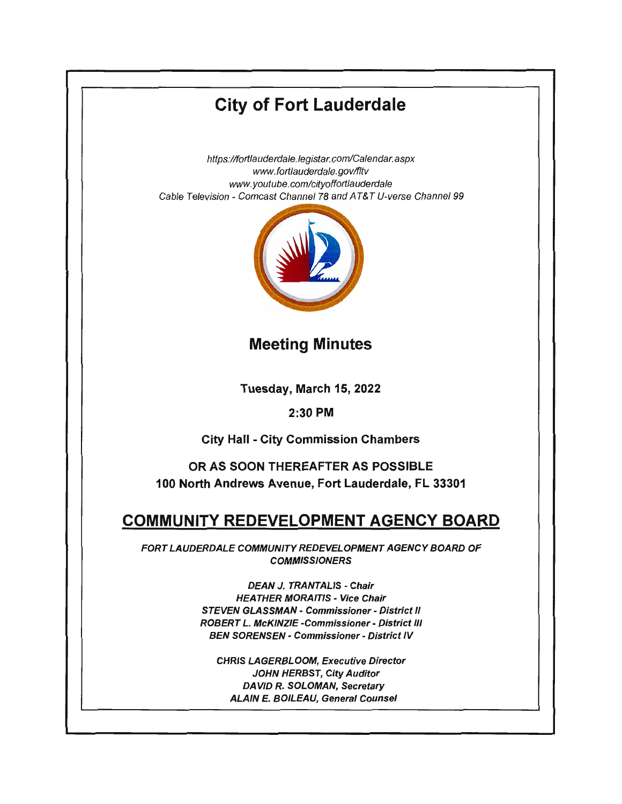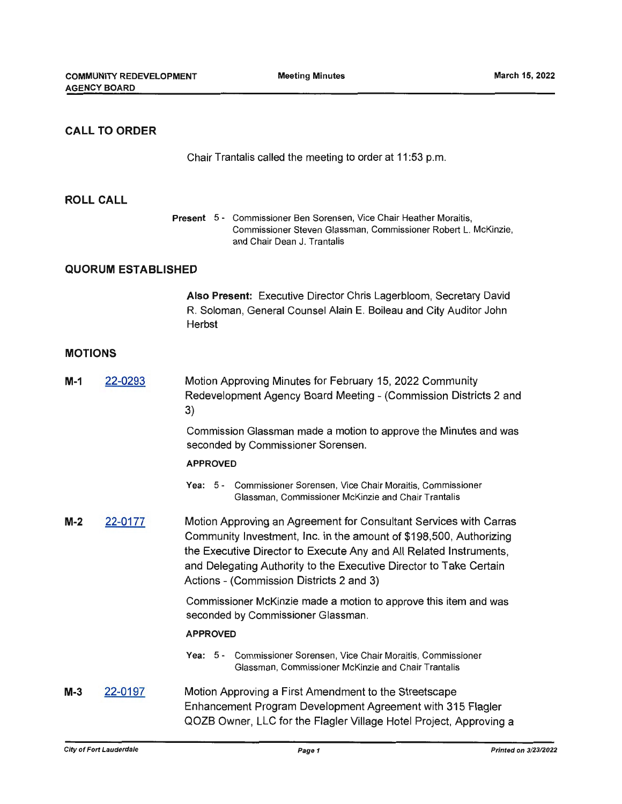# **CALL TO ORDER**

Chair Trantalis called the meeting to order at 11 :53 p.m.

### **ROLL CALL**

**Present** 5 - Commissioner Ben Sorensen, Vice Chair Heather Moraitis, Commissioner Steven Glassman, Commissioner Robert L. McKinzie, and Chair Dean J. Trantalis

## **QUORUM ESTABLISHED**

**Also Present:** Executive Director Chris Lagerbloom, Secretary David R. Soloman, General Counsel Alain E. Boileau and City Auditor John Herbst

## **MOTIONS**

| $M-1$ | 22-0293 | Motion Approving Minutes for February 15, 2022 Community<br>Redevelopment Agency Board Meeting - (Commission Districts 2 and<br>3)                                                                                                                                                                                              |
|-------|---------|---------------------------------------------------------------------------------------------------------------------------------------------------------------------------------------------------------------------------------------------------------------------------------------------------------------------------------|
|       |         | Commission Glassman made a motion to approve the Minutes and was<br>seconded by Commissioner Sorensen.                                                                                                                                                                                                                          |
|       |         | <b>APPROVED</b>                                                                                                                                                                                                                                                                                                                 |
|       |         | Yea: 5 - Commissioner Sorensen, Vice Chair Moraitis, Commissioner<br>Glassman, Commissioner McKinzie and Chair Trantalis                                                                                                                                                                                                        |
| $M-2$ | 22-0177 | Motion Approving an Agreement for Consultant Services with Carras<br>Community Investment, Inc. in the amount of \$198,500, Authorizing<br>the Executive Director to Execute Any and All Related Instruments,<br>and Delegating Authority to the Executive Director to Take Certain<br>Actions - (Commission Districts 2 and 3) |
|       |         | Commissioner McKinzie made a motion to approve this item and was<br>seconded by Commissioner Glassman.                                                                                                                                                                                                                          |
|       |         | <b>APPROVED</b>                                                                                                                                                                                                                                                                                                                 |
|       |         | Yea: 5 - Commissioner Sorensen, Vice Chair Moraitis, Commissioner<br>Glassman, Commissioner McKinzie and Chair Trantalis                                                                                                                                                                                                        |
| $M-3$ | 22-0197 | Motion Approving a First Amendment to the Streetscape<br>Enhancement Program Development Agreement with 315 Flagler<br>QOZB Owner, LLC for the Flagler Village Hotel Project, Approving a                                                                                                                                       |